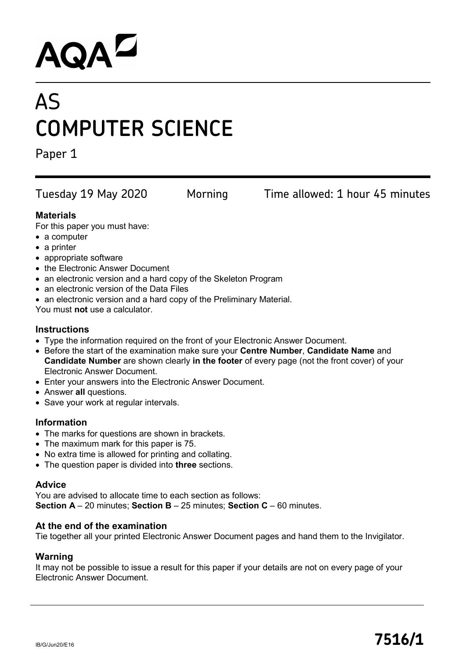# **AQAL**

# AS **COMPUTER SCIENCE**

Paper 1

Tuesday 19 May 2020 Morning Time allowed: 1 hour 45 minutes

#### **Materials**

For this paper you must have:

- a computer
- a printer
- appropriate software
- the Electronic Answer Document
- an electronic version and a hard copy of the Skeleton Program
- an electronic version of the Data Files
- an electronic version and a hard copy of the Preliminary Material.

You must **not** use a calculator.

#### **Instructions**

- Type the information required on the front of your Electronic Answer Document.
- Before the start of the examination make sure your **Centre Number**, **Candidate Name** and **Candidate Number** are shown clearly **in the footer** of every page (not the front cover) of your Electronic Answer Document.
- Enter your answers into the Electronic Answer Document.
- Answer **all** questions.
- Save your work at regular intervals.

#### **Information**

- The marks for questions are shown in brackets.
- The maximum mark for this paper is 75.
- No extra time is allowed for printing and collating.
- The question paper is divided into **three** sections.

#### **Advice**

You are advised to allocate time to each section as follows: **Section A** – 20 minutes; **Section B** – 25 minutes; **Section C** – 60 minutes.

#### **At the end of the examination**

Tie together all your printed Electronic Answer Document pages and hand them to the Invigilator.

#### **Warning**

It may not be possible to issue a result for this paper if your details are not on every page of your Electronic Answer Document.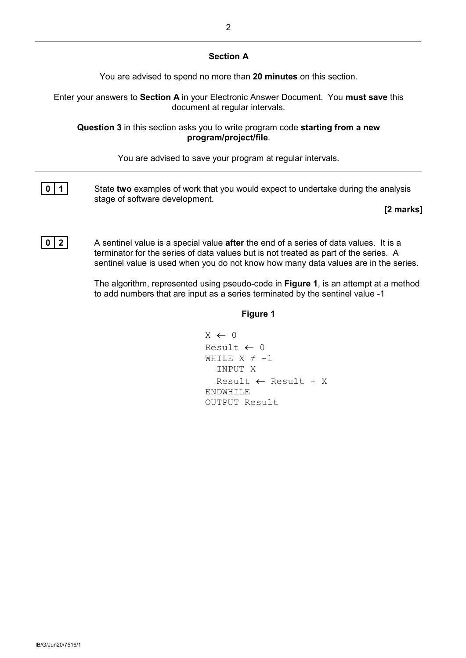#### **Section A**

You are advised to spend no more than **20 minutes** on this section.

Enter your answers to **Section A** in your Electronic Answer Document. You **must save** this document at regular intervals.

**Question 3** in this section asks you to write program code **starting from a new program/project/file**.

You are advised to save your program at regular intervals.



**0** 1 State **two** examples of work that you would expect to undertake during the analysis stage of software development.

#### **[2 marks]**

**0** | **2** | A sentinel value is a special value **after** the end of a series of data values. It is a terminator for the series of data values but is not treated as part of the series. A sentinel value is used when you do not know how many data values are in the series.

> The algorithm, represented using pseudo-code in **Figure 1**, is an attempt at a method to add numbers that are input as a series terminated by the sentinel value -1

#### **Figure 1**

```
X \leftarrow 0Result \leftarrow 0WHILE X \neq -1 INPUT X
   Result ← Result + X
ENDWHILE
OUTPUT Result
```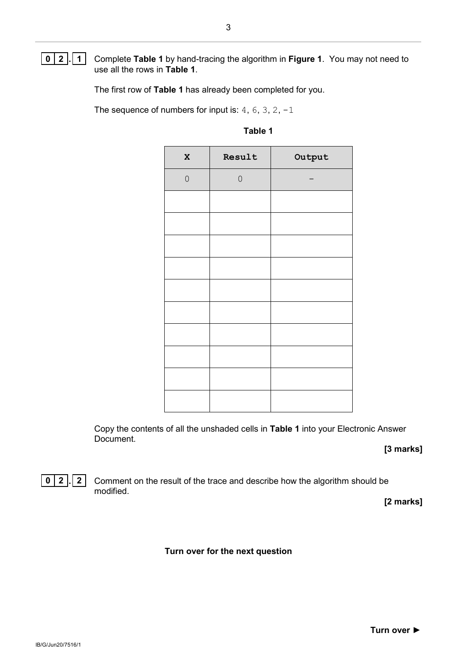**0 2 . 1** Complete **Table 1** by hand-tracing the algorithm in **Figure 1**. You may not need to use all the rows in **Table 1**.

The first row of **Table 1** has already been completed for you.

The sequence of numbers for input is:  $4, 6, 3, 2, -1$ 

| $\mathbf x$  | Result       | Output |
|--------------|--------------|--------|
| $\mathsf{O}$ | $\mathsf{O}$ |        |
|              |              |        |
|              |              |        |
|              |              |        |
|              |              |        |
|              |              |        |
|              |              |        |
|              |              |        |
|              |              |        |
|              |              |        |
|              |              |        |

**Table 1**

Copy the contents of all the unshaded cells in **Table 1** into your Electronic Answer Document.

**[3 marks]**



**0 2 . 2** Comment on the result of the trace and describe how the algorithm should be modified.

**[2 marks]**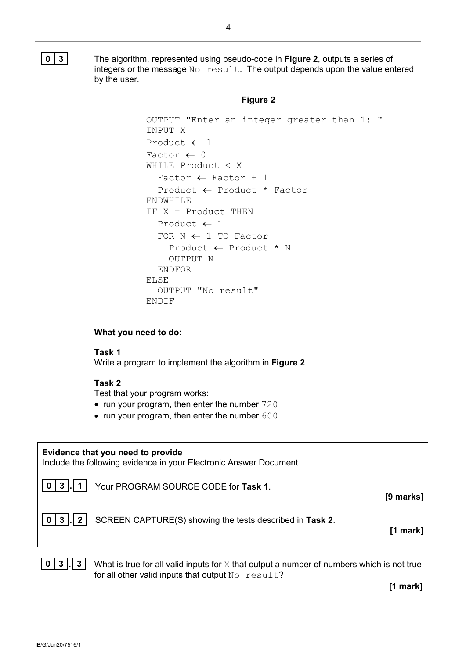**0 3** The algorithm, represented using pseudo-code in **Figure 2**, outputs a series of integers or the message  $No result$ . The output depends upon the value entered by the user.

#### **Figure 2**

```
OUTPUT "Enter an integer greater than 1: "
INPUT X
Product \leftarrow 1
Factor \leftarrow 0
WHILE Product < X
  Factor \leftarrow Factor + 1
   Product ← Product * Factor
ENDWHILE
IF X = Product THEN
   Product ← 1
  FOR N \leftarrow 1 TO Factor
     Product ← Product * N
     OUTPUT N
   ENDFOR
ELSE
   OUTPUT "No result"
ENDIF
```
#### **What you need to do:**

#### **Task 1**

Write a program to implement the algorithm in **Figure 2**.

#### **Task 2**

Test that your program works:

- run your program, then enter the number 720
- run your program, then enter the number 600

## **Evidence that you need to provide** Include the following evidence in your Electronic Answer Document. **0 3 . 1** Your PROGRAM SOURCE CODE for **Task 1**. **[9 marks] 0 3 . 2** SCREEN CAPTURE(S) showing the tests described in **Task 2**. **[1 mark]**

**0 3 . 3** What is true for all valid inputs for X that output a number of numbers which is not true for all other valid inputs that output No result?

**[1 mark]**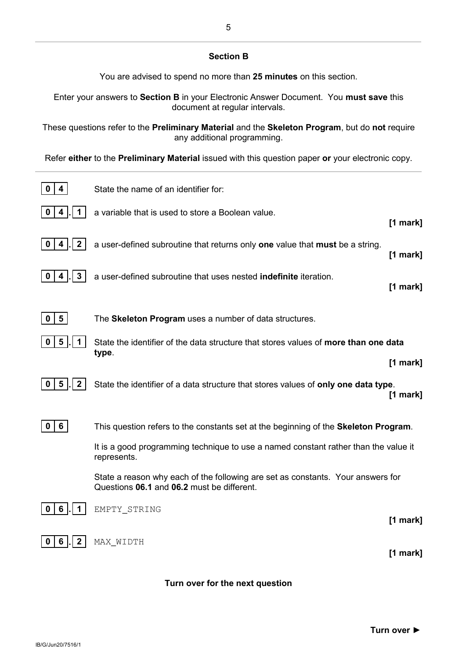#### **Section B**

You are advised to spend no more than **25 minutes** on this section.

Enter your answers to **Section B** in your Electronic Answer Document. You **must save** this document at regular intervals.

These questions refer to the **Preliminary Material** and the **Skeleton Program**, but do **not** require any additional programming.

Refer **either** to the **Preliminary Material** issued with this question paper **or** your electronic copy.

| 4                                | State the name of an identifier for:                                                                                          |                          |
|----------------------------------|-------------------------------------------------------------------------------------------------------------------------------|--------------------------|
| 1 <sup>1</sup><br>$\sim$<br>0    | a variable that is used to store a Boolean value.                                                                             | $[1$ mark]               |
| 2 <sup>1</sup><br>0<br>4         | a user-defined subroutine that returns only one value that must be a string.                                                  | $[1$ mark]               |
| $3\phantom{a}$<br>4              | a user-defined subroutine that uses nested indefinite iteration.                                                              | $[1$ mark]               |
| $5\overline{)}$<br>0             | The Skeleton Program uses a number of data structures.                                                                        |                          |
| $5\phantom{1}$                   | State the identifier of the data structure that stores values of more than one data<br>type.                                  |                          |
| $5\phantom{1}$<br>2 <sup>1</sup> | State the identifier of a data structure that stores values of only one data type.                                            | $[1$ mark]<br>$[1$ mark] |
| 6 <sup>1</sup><br>0              | This question refers to the constants set at the beginning of the <b>Skeleton Program</b> .                                   |                          |
|                                  | It is a good programming technique to use a named constant rather than the value it<br>represents.                            |                          |
|                                  | State a reason why each of the following are set as constants. Your answers for<br>Questions 06.1 and 06.2 must be different. |                          |
| 6                                | EMPTY STRING                                                                                                                  | $[1$ mark]               |
| 6<br>2 <sup>1</sup>              | MAX WIDTH                                                                                                                     | $[1$ mark]               |
|                                  |                                                                                                                               |                          |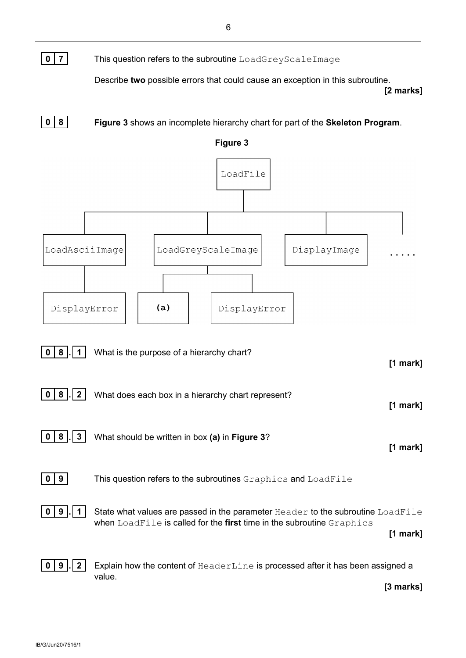**0 7** This question refers to the subroutine LoadGreyScaleImage

Describe **two** possible errors that could cause an exception in this subroutine.

**[2 marks]**

**0 8 Figure 3** shows an incomplete hierarchy chart for part of the **Skeleton Program**.

**Figure 3**

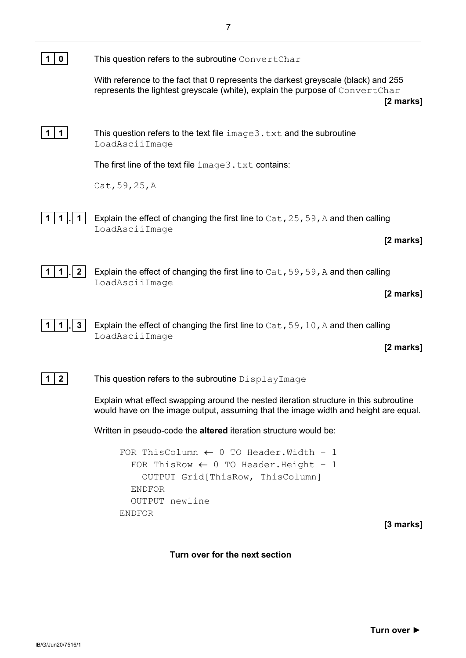| 0            | This question refers to the subroutine Convert Char                                                                                                                              |
|--------------|----------------------------------------------------------------------------------------------------------------------------------------------------------------------------------|
|              | With reference to the fact that 0 represents the darkest greyscale (black) and 255<br>represents the lightest greyscale (white), explain the purpose of ConvertChar<br>[2 marks] |
| 1            | This question refers to the text file $image3$ . txt and the subroutine<br>LoadAsciiImage                                                                                        |
|              | The first line of the text file $image3$ . txt contains:                                                                                                                         |
|              | Cat, 59, 25, A                                                                                                                                                                   |
|              | Explain the effect of changing the first line to $Cat$ , 25, 59, A and then calling<br>LoadAsciiImage                                                                            |
|              | [2 marks]                                                                                                                                                                        |
| $\mathbf{2}$ | Explain the effect of changing the first line to $Cat$ , 59, 59, A and then calling<br>LoadAsciiImage                                                                            |
|              | [2 marks]                                                                                                                                                                        |
|              | Explain the effect of changing the first line to $Cat$ , 59, 10, A and then calling<br>LoadAsciiImage                                                                            |
|              | [2 marks]                                                                                                                                                                        |
| 2            | This question refers to the subroutine DisplayImage                                                                                                                              |
|              | Explain what effect swapping around the nested iteration structure in this subroutine<br>would have on the image output, assuming that the image width and height are equal.     |
|              | Written in pseudo-code the altered iteration structure would be:                                                                                                                 |
|              | FOR ThisColumn $\leftarrow$ 0 TO Header. Width - 1<br>FOR ThisRow $\leftarrow$ 0 TO Header. Height - 1<br>OUTPUT Grid[ThisRow, ThisColumn]<br><b>ENDFOR</b><br>OUTPUT newline    |
|              | <b>ENDFOR</b><br>$[3$ marks]                                                                                                                                                     |

7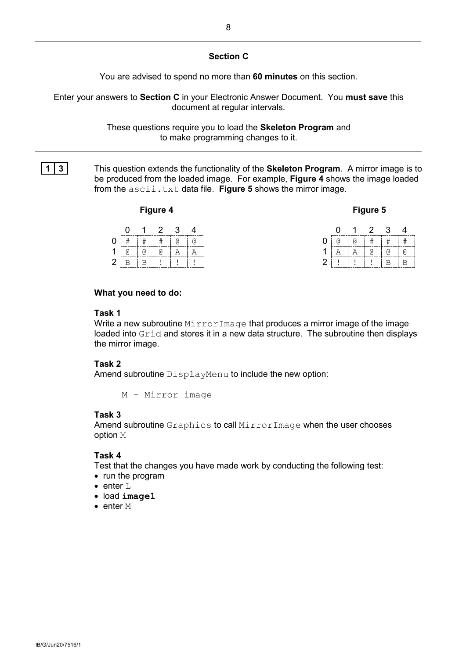#### **Section C**

You are advised to spend no more than **60 minutes** on this section.

Enter your answers to **Section C** in your Electronic Answer Document. You **must save** this document at regular intervals.

> These questions require you to load the **Skeleton Program** and to make programming changes to it.

**1 3** This question extends the functionality of the **Skeleton Program**. A mirror image is to be produced from the loaded image. For example, **Figure 4** shows the image loaded from the ascii.txt data file. **Figure 5** shows the mirror image.

#### **Figure 4**

| laur. |  |
|-------|--|
|-------|--|

|   |       |             | 1 2 3 |     |   |              |   | 1 2 3         |                |
|---|-------|-------------|-------|-----|---|--------------|---|---------------|----------------|
|   | $\pm$ | i# i# i@ i@ |       |     |   | <sub>6</sub> |   | 0   #   #   # |                |
|   | ſd.   | ി           | ി     | i A | Α |              | A | i a           | $\overline{a}$ |
| ⌒ |       |             |       |     |   |              |   |               |                |

| <u>i</u> | 2  | 3 | 4  |
|----------|----|---|----|
| đ        |    |   |    |
|          | ſd |   | ß) |
|          |    |   |    |

#### **What you need to do:**

#### **Task 1**

Write a new subroutine MirrorImage that produces a mirror image of the image loaded into Grid and stores it in a new data structure. The subroutine then displays the mirror image.

#### **Task 2**

Amend subroutine DisplayMenu to include the new option:

M – Mirror image

#### **Task 3**

Amend subroutine Graphics to call MirrorImage when the user chooses option M

#### **Task 4**

Test that the changes you have made work by conducting the following test:

- run the program
- enter L
- load **image1**
- enter M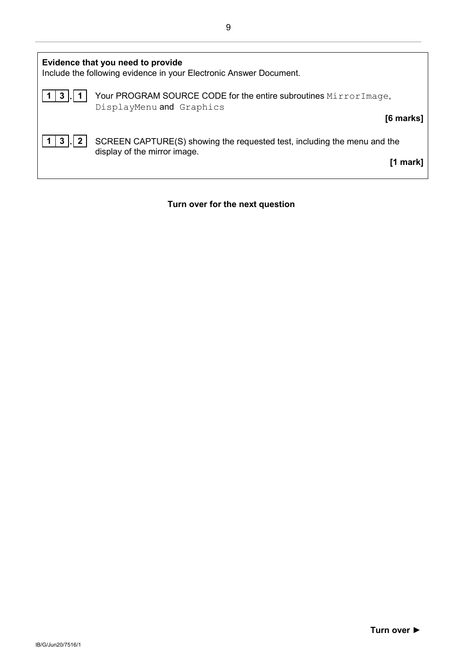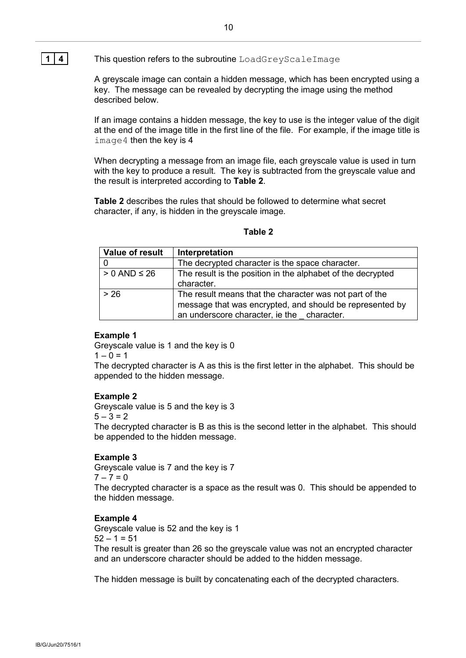#### **1 4** This question refers to the subroutine LoadGreyScaleImage

A greyscale image can contain a hidden message, which has been encrypted using a key. The message can be revealed by decrypting the image using the method described below.

If an image contains a hidden message, the key to use is the integer value of the digit at the end of the image title in the first line of the file. For example, if the image title is image4 then the key is 4

When decrypting a message from an image file, each greyscale value is used in turn with the key to produce a result. The key is subtracted from the greyscale value and the result is interpreted according to **Table 2**.

**Table 2** describes the rules that should be followed to determine what secret character, if any, is hidden in the greyscale image.

#### **Table 2**

| Value of result     | Interpretation                                              |
|---------------------|-------------------------------------------------------------|
|                     | The decrypted character is the space character.             |
| $> 0$ AND $\leq 26$ | The result is the position in the alphabet of the decrypted |
|                     | character.                                                  |
| > 26                | The result means that the character was not part of the     |
|                     | message that was encrypted, and should be represented by    |
|                     | an underscore character, ie the character.                  |

#### **Example 1**

Greyscale value is 1 and the key is 0  $1 - 0 = 1$ 

The decrypted character is A as this is the first letter in the alphabet. This should be appended to the hidden message.

#### **Example 2**

Greyscale value is 5 and the key is 3  $5 - 3 = 2$ 

The decrypted character is B as this is the second letter in the alphabet. This should be appended to the hidden message.

#### **Example 3**

Greyscale value is 7 and the key is 7

 $7 - 7 = 0$ 

The decrypted character is a space as the result was 0. This should be appended to the hidden message.

#### **Example 4**

Greyscale value is 52 and the key is 1  $52 - 1 = 51$ 

The result is greater than 26 so the greyscale value was not an encrypted character and an underscore character should be added to the hidden message.

The hidden message is built by concatenating each of the decrypted characters.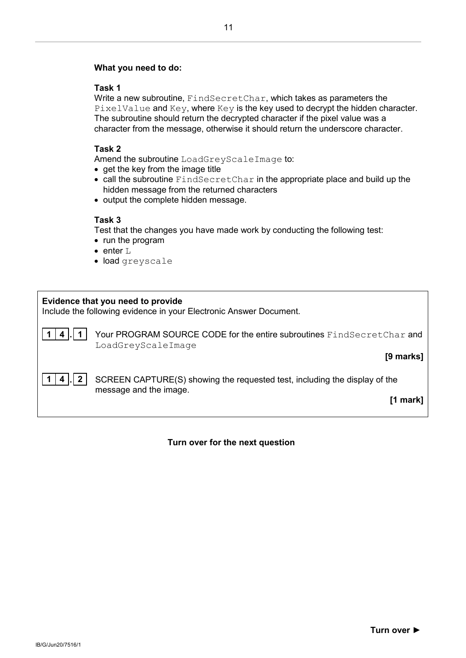#### **What you need to do:**

#### **Task 1**

Write a new subroutine, FindSecretChar, which takes as parameters the PixelValue and Key, where Key is the key used to decrypt the hidden character. The subroutine should return the decrypted character if the pixel value was a character from the message, otherwise it should return the underscore character.

#### **Task 2**

Amend the subroutine LoadGreyScaleImage to:

- get the key from the image title
- call the subroutine FindSecretChar in the appropriate place and build up the hidden message from the returned characters
- output the complete hidden message.

#### **Task 3**

Test that the changes you have made work by conducting the following test:

- run the program
- enter L
- load greyscale

## **Evidence that you need to provide** Include the following evidence in your Electronic Answer Document.

**1 4 . 1** Your PROGRAM SOURCE CODE for the entire subroutines FindSecretChar and LoadGreyScaleImage

#### **[9 marks]**

**1 4 . 2** SCREEN CAPTURE(S) showing the requested test, including the display of the message and the image.

**[1 mark]**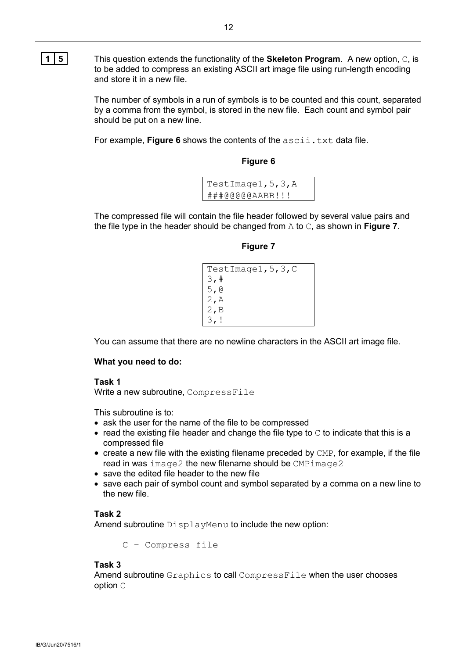**1 5** This question extends the functionality of the **Skeleton Program**. A new option, C, is to be added to compress an existing ASCII art image file using run-length encoding and store it in a new file.

> The number of symbols in a run of symbols is to be counted and this count, separated by a comma from the symbol, is stored in the new file. Each count and symbol pair should be put on a new line.

For example, Figure 6 shows the contents of the ascii.txt data file.

**Figure 6**

| TestImage1, 5, 3, A |
|---------------------|
| ###@@@@@AABB!!!     |

The compressed file will contain the file header followed by several value pairs and the file type in the header should be changed from A to C, as shown in **Figure 7**.

**Figure 7**

| TestImage1, $5, 3, C$ |
|-----------------------|
| 3,#                   |
| 5,0                   |
| 2, A                  |
| 2, B                  |
| 3.                    |

You can assume that there are no newline characters in the ASCII art image file.

#### **What you need to do:**

#### **Task 1**

Write a new subroutine, CompressFile

This subroutine is to:

- ask the user for the name of the file to be compressed
- $\bullet$  read the existing file header and change the file type to  $\circ$  to indicate that this is a compressed file
- create a new file with the existing filename preceded by CMP, for example, if the file read in was image2 the new filename should be CMPimage2
- save the edited file header to the new file
- save each pair of symbol count and symbol separated by a comma on a new line to the new file.

#### **Task 2**

Amend subroutine DisplayMenu to include the new option:

C – Compress file

#### **Task 3**

Amend subroutine Graphics to call CompressFile when the user chooses option C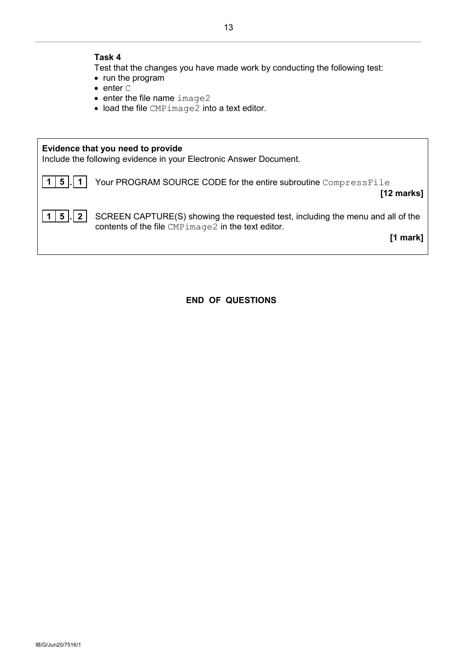#### **Task 4**

- Test that the changes you have made work by conducting the following test:
- run the program
- enter C
- enter the file name image2
- load the file CMPimage2 into a text editor.



**END OF QUESTIONS**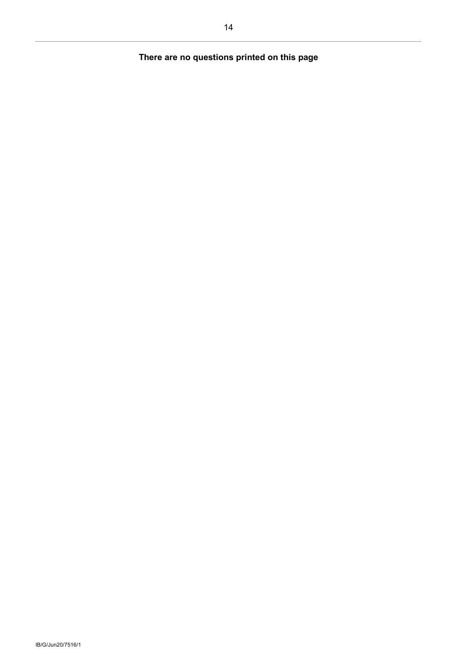## **There are no questions printed on this page**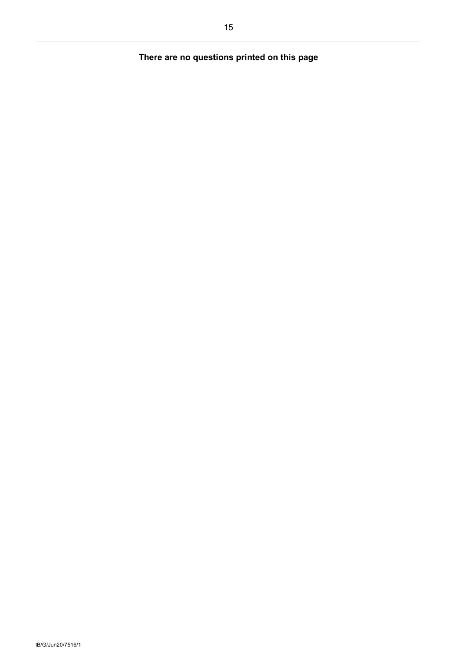## **There are no questions printed on this page**